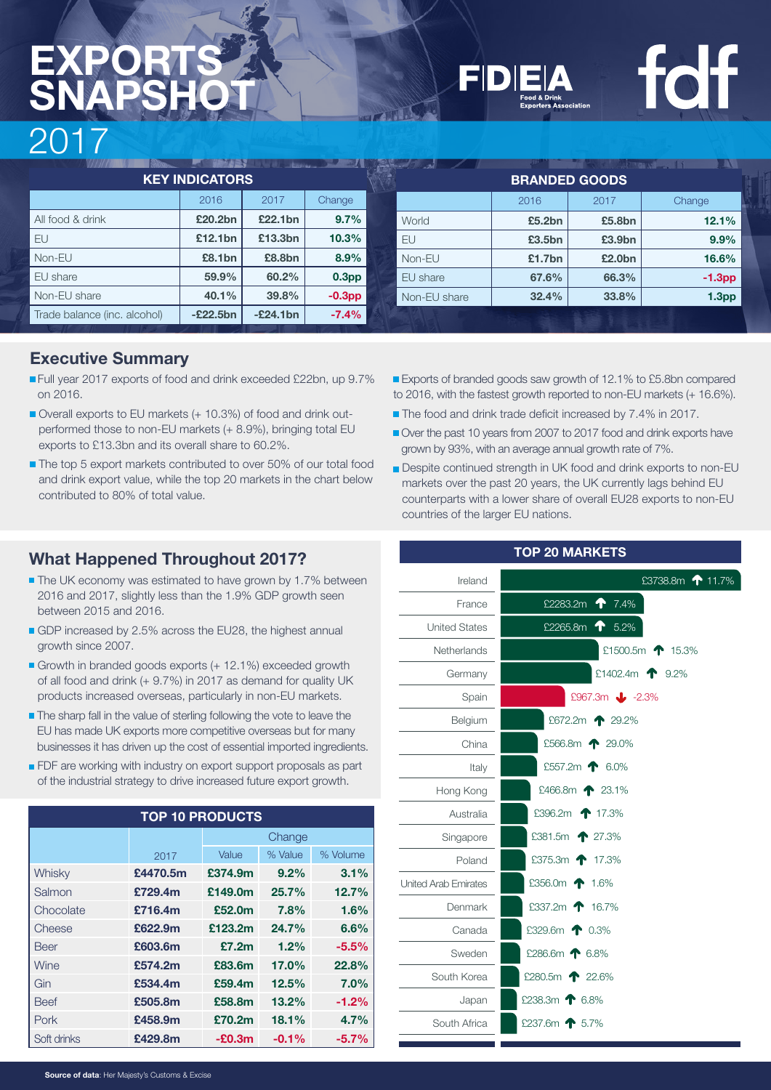| ---                          |            |            |                   |  |                      |        |                    |                   |  |
|------------------------------|------------|------------|-------------------|--|----------------------|--------|--------------------|-------------------|--|
|                              |            |            |                   |  |                      |        |                    |                   |  |
| <b>KEY INDICATORS</b>        |            |            |                   |  | <b>BRANDED GOODS</b> |        |                    |                   |  |
|                              | 2016       | 2017       | Change            |  |                      | 2016   | 2017               | Change            |  |
| All food & drink             | £20,2bn    | £22.1bn    | 9.7%              |  | World                | £5.2bn | £5.8bn             | 12.1%             |  |
| EU                           | £12.1bn    | £13.3bn    | 10.3%             |  | EU                   | £3.5bn | £3.9 <sub>bn</sub> | 9.9%              |  |
| Non-EU                       | £8.1bn     | £8.8bn     | $8.9\%$           |  | Non-EU               | £1.7bn | £2.0bn             | 16.6%             |  |
| EU share                     | 59.9%      | 60.2%      | 0.3 <sub>pp</sub> |  | EU share             | 67.6%  | 66.3%              | $-1.3pp$          |  |
| Non-EU share                 | 40.1%      | 39.8%      | $-0.3pp$          |  | Non-EU share         | 32.4%  | 33.8%              | 1.3 <sub>pp</sub> |  |
| Trade balance (inc. alcohol) | $-E22.5bn$ | $-E24.1bn$ | $-7.4%$           |  |                      |        |                    |                   |  |

## **Executive Summary**

- Full year 2017 exports of food and drink exceeded £22bn, up 9.7% on 2016.
- Overall exports to EU markets (+ 10.3%) of food and drink outperformed those to non-EU markets (+ 8.9%), bringing total EU exports to £13.3bn and its overall share to 60.2%.
- The top 5 export markets contributed to over 50% of our total food and drink export value, while the top 20 markets in the chart below contributed to 80% of total value.

## **What Happened Throughout 2017?**

- The UK economy was estimated to have grown by 1.7% between 2016 and 2017, slightly less than the 1.9% GDP growth seen between 2015 and 2016.
- GDP increased by 2.5% across the EU28, the highest annual growth since 2007.
- Growth in branded goods exports (+ 12.1%) exceeded growth of all food and drink (+ 9.7%) in 2017 as demand for quality UK products increased overseas, particularly in non-EU markets.
- The sharp fall in the value of sterling following the vote to leave the EU has made UK exports more competitive overseas but for many businesses it has driven up the cost of essential imported ingredients.
- FDF are working with industry on export support proposals as part of the industrial strategy to drive increased future export growth.

| <b>TOP 10 PRODUCTS</b> |          |          |          |          |  |  |  |
|------------------------|----------|----------|----------|----------|--|--|--|
|                        |          | Change   |          |          |  |  |  |
|                        | 2017     | Value    | % Value  | % Volume |  |  |  |
| Whisky                 | £4470.5m | £374.9m  | 9.2%     | 3.1%     |  |  |  |
| Salmon                 | £729.4m  | £149.0m  | 25.7%    | 12.7%    |  |  |  |
| Chocolate              | £716.4m  | £52.0m   | 7.8%     | 1.6%     |  |  |  |
| Cheese                 | £622.9m  | £123.2m  | 24.7%    | 6.6%     |  |  |  |
| <b>Beer</b>            | £603.6m  | £7.2m    | 1.2%     | $-5.5%$  |  |  |  |
| Wine                   | £574.2m  | £83.6m   | 17.0%    | 22.8%    |  |  |  |
| Gin                    | £534.4m  | £59.4m   | 12.5%    | 7.0%     |  |  |  |
| <b>Beef</b>            | £505.8m  | £58.8m   | 13.2%    | $-1.2%$  |  |  |  |
| Pork                   | £458.9m  | £70.2m   | 18.1%    | 4.7%     |  |  |  |
| Soft drinks            | £429.8m  | $-E0.3m$ | $-0.1\%$ | $-5.7%$  |  |  |  |

- Exports of branded goods saw growth of 12.1% to £5.8bn compared to 2016, with the fastest growth reported to non-EU markets (+ 16.6%).
- The food and drink trade deficit increased by 7.4% in 2017.
- Over the past 10 years from 2007 to 2017 food and drink exports have grown by 93%, with an average annual growth rate of 7%.
- **Despite continued strength in UK food and drink exports to non-EU** markets over the past 20 years, the UK currently lags behind EU counterparts with a lower share of overall EU28 exports to non-EU countries of the larger EU nations.

| <b>TOP 20 MARKETS</b>      |  |  |  |  |  |  |
|----------------------------|--|--|--|--|--|--|
| £3738.8m <b>↑</b> 11.7%    |  |  |  |  |  |  |
| £2283.2m $\bullet$ 7.4%    |  |  |  |  |  |  |
| <b>1</b> 5.2%<br>£2265.8m  |  |  |  |  |  |  |
| £1500.5m <b>1</b> 15.3%    |  |  |  |  |  |  |
| £1402.4m $\bullet$ 9.2%    |  |  |  |  |  |  |
| £967.3m $\bigcup$ -2.3%    |  |  |  |  |  |  |
| £672.2m <b>1</b> 29.2%     |  |  |  |  |  |  |
| £566.8m <b>1</b> 29.0%     |  |  |  |  |  |  |
| £557.2m $\bullet$ 6.0%     |  |  |  |  |  |  |
| £466.8m $\spadesuit$ 23.1% |  |  |  |  |  |  |
| £396.2m 17.3%              |  |  |  |  |  |  |
| £381.5m <b>1</b> 27.3%     |  |  |  |  |  |  |
| £375.3m <b>1</b> 7.3%      |  |  |  |  |  |  |
| £356.0m $\spadesuit$ 1.6%  |  |  |  |  |  |  |
| £337.2m 16.7%              |  |  |  |  |  |  |
| £329.6m $\bullet$ 0.3%     |  |  |  |  |  |  |
| £286.6m $\spadesuit$ 6.8%  |  |  |  |  |  |  |
| £280.5m $\bullet$ 22.6%    |  |  |  |  |  |  |
| £238.3m $\bullet$ 6.8%     |  |  |  |  |  |  |
| £237.6m 1 5.7%             |  |  |  |  |  |  |
|                            |  |  |  |  |  |  |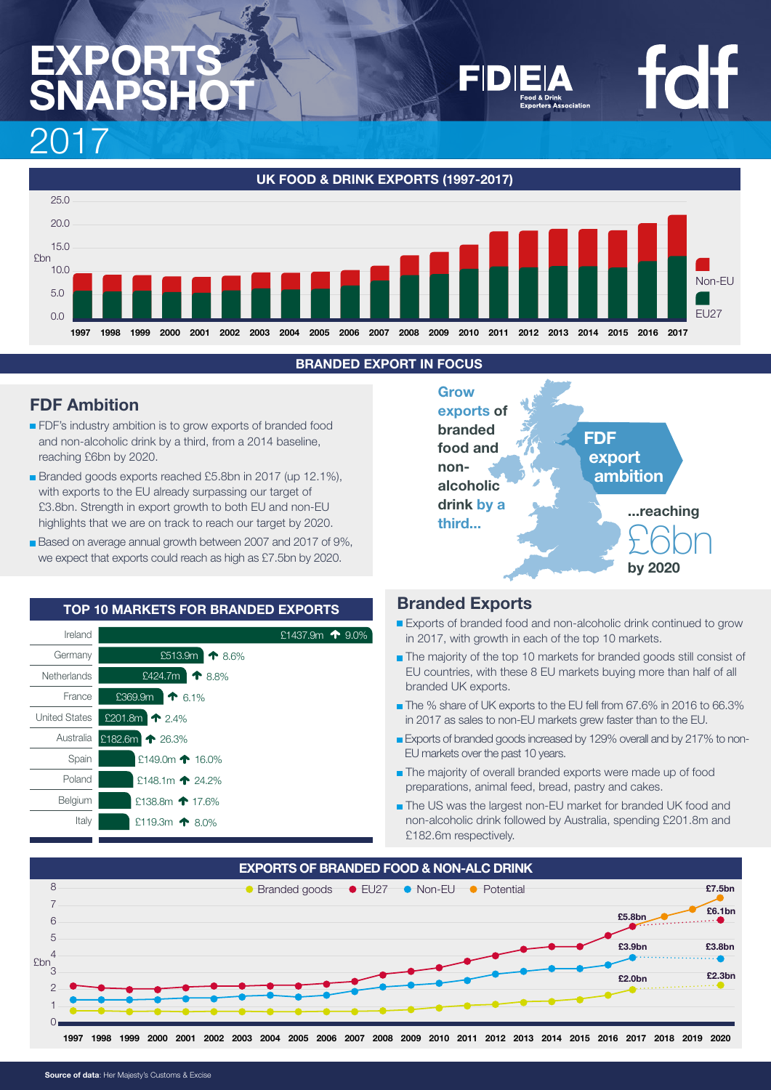**UK FOOD & DRINK EXPORTS (1997-2017)** Non-EU EU27

**1997 1998 1999 2000 2001 2002 2003 2004 2005 2006 2007 2008 2009 2010 2011 2012 2013 2014 2015 2016 2017**

### **BRANDED EXPORT IN FOCUS**

## **FDF Ambition**

 $25.0$ 20.0 15.0 10.0 5.0  $0<sub>0</sub>$ 

**f**bn

- **FDF's industry ambition is to grow exports of branded food** and non-alcoholic drink by a third, from a 2014 baseline, reaching £6bn by 2020.
- Branded goods exports reached £5.8bn in 2017 (up 12.1%), with exports to the EU already surpassing our target of £3.8bn. Strength in export growth to both EU and non-EU highlights that we are on track to reach our target by 2020.
- Based on average annual growth between 2007 and 2017 of 9%, we expect that exports could reach as high as £7.5bn by 2020.





### **Branded Exports**

- Exports of branded food and non-alcoholic drink continued to grow in 2017, with growth in each of the top 10 markets.
- The majority of the top 10 markets for branded goods still consist of EU countries, with these 8 EU markets buying more than half of all branded UK exports.
- The % share of UK exports to the EU fell from 67.6% in 2016 to 66.3% in 2017 as sales to non-EU markets grew faster than to the EU.
- Exports of branded goods increased by 129% overall and by 217% to non-EU markets over the past 10 years.
- **The majority of overall branded exports were made up of food** preparations, animal feed, bread, pastry and cakes.
- The US was the largest non-EU market for branded UK food and non-alcoholic drink followed by Australia, spending £201.8m and £182.6m respectively.

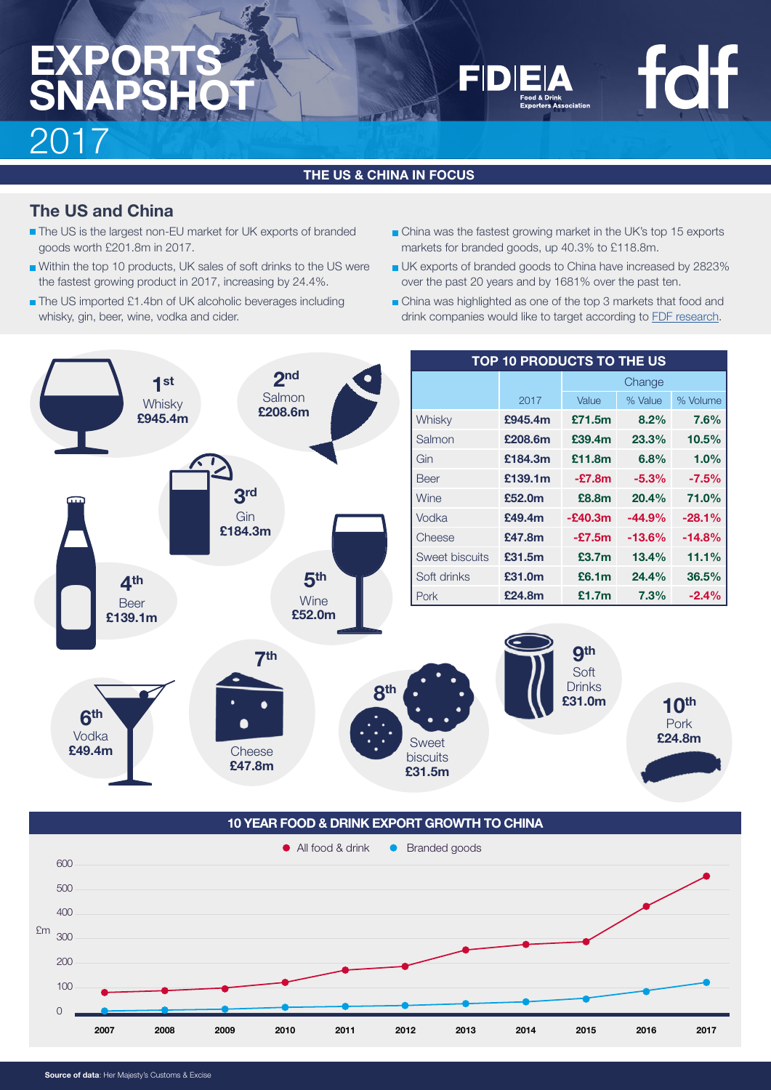**THE US & CHINA IN FOCUS**

## **The US and China**

- The US is the largest non-EU market for UK exports of branded goods worth £201.8m in 2017.
- Within the top 10 products, UK sales of soft drinks to the US were the fastest growing product in 2017, increasing by 24.4%.
- The US imported £1.4bn of UK alcoholic beverages including whisky, gin, beer, wine, vodka and cider.
- China was the fastest growing market in the UK's top 15 exports markets for branded goods, up 40.3% to £118.8m.
- UK exports of branded goods to China have increased by 2823% over the past 20 years and by 1681% over the past ten.
- China was highlighted as one of the top 3 markets that food and drink companies would like to target according to [FDF research](https://www.fdf.org.uk/publicgeneral/FDF-Economic-contribution-Full-report.pdf).



**10 YEAR FOOD & DRINK EXPORT GROWTH TO CHINA**

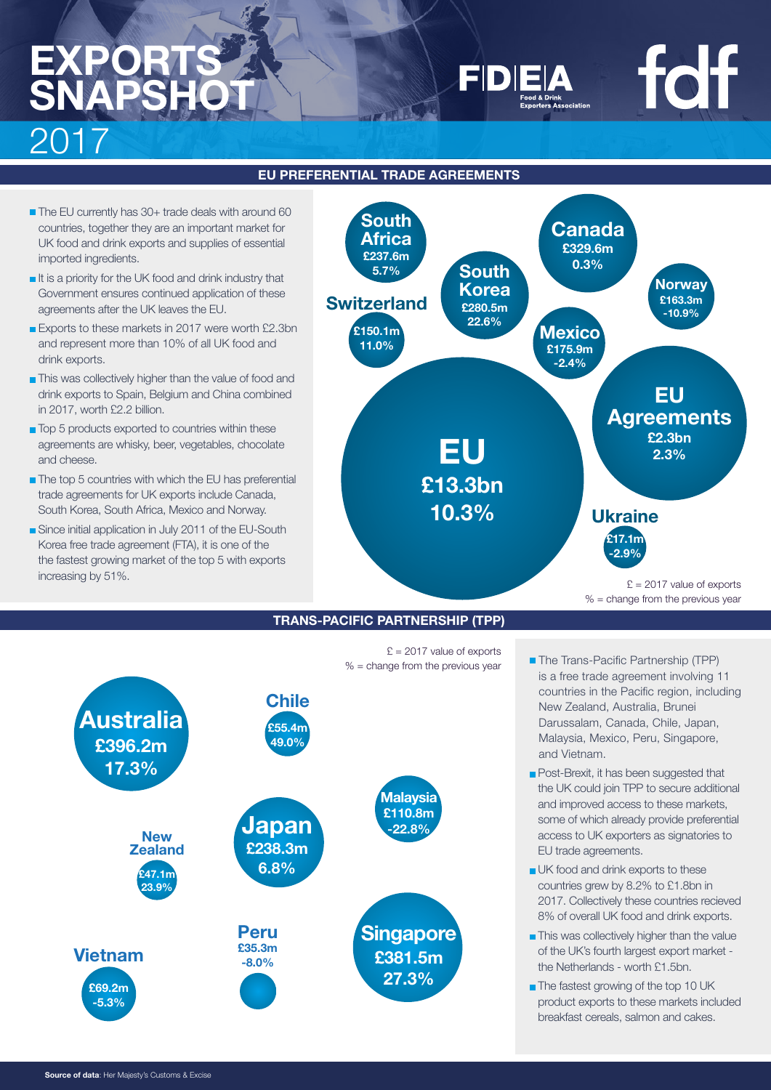### **EU PREFERENTIAL TRADE AGREEMENTS**

- The EU currently has 30+ trade deals with around 60 countries, together they are an important market for UK food and drink exports and supplies of essential imported ingredients.
- It is a priority for the UK food and drink industry that Government ensures continued application of these agreements after the UK leaves the EU.
- Exports to these markets in 2017 were worth £2.3bn and represent more than 10% of all UK food and drink exports.
- **This was collectively higher than the value of food and** drink exports to Spain, Belgium and China combined in 2017, worth £2.2 billion.
- Top 5 products exported to countries within these agreements are whisky, beer, vegetables, chocolate and cheese.
- The top 5 countries with which the EU has preferential trade agreements for UK exports include Canada, South Korea, South Africa, Mexico and Norway.
- Since initial application in July 2011 of the EU-South Korea free trade agreement (FTA), it is one of the the fastest growing market of the top 5 with exports increasing by 51%.



### **TRANS-PACIFIC PARTNERSHIP (TPP)**

 $E = 2017$  value of exports  $% =$  change from the previous year



■ The Trans-Pacific Partnership (TPP) is a free trade agreement involving 11 countries in the Pacific region, including New Zealand, Australia, Brunei Darussalam, Canada, Chile, Japan, Malaysia, Mexico, Peru, Singapore, and Vietnam.

 $% =$  change from the previous year

**foff** 

- Post-Brexit, it has been suggested that the UK could join TPP to secure additional and improved access to these markets, some of which already provide preferential access to UK exporters as signatories to EU trade agreements.
- **UK** food and drink exports to these countries grew by 8.2% to £1.8bn in 2017. Collectively these countries recieved 8% of overall UK food and drink exports.
- This was collectively higher than the value of the UK's fourth largest export market the Netherlands - worth £1.5bn.
- The fastest growing of the top 10 UK product exports to these markets included breakfast cereals, salmon and cakes.